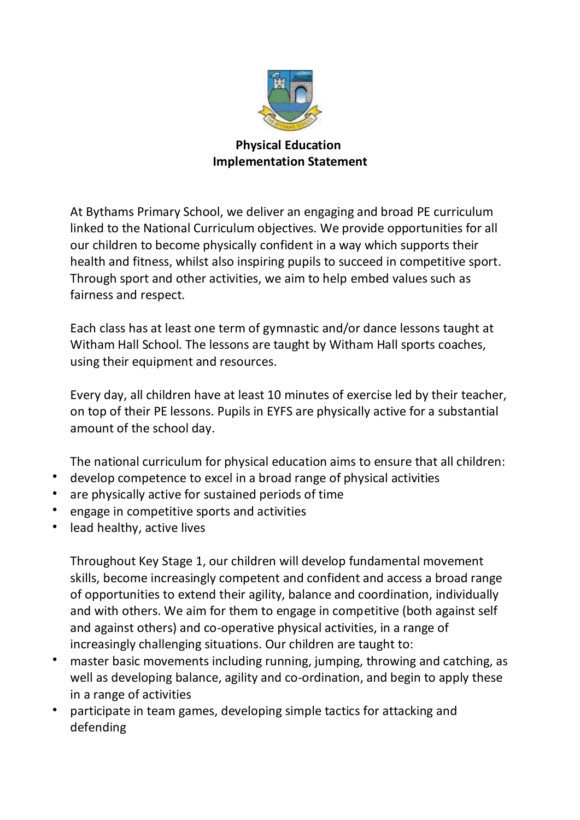

## **Physical Education Implementation Statement**

At Bythams Primary School, we deliver an engaging and broad PE curriculum linked to the National Curriculum objectives. We provide opportunities for all our children to become physically confident in a way which supports their health and fitness, whilst also inspiring pupils to succeed in competitive sport. Through sport and other activities, we aim to help embed values such as fairness and respect.

Each class has at least one term of gymnastic and/or dance lessons taught at Witham Hall School. The lessons are taught by Witham Hall sports coaches, using their equipment and resources.

Every day, all children have at least 10 minutes of exercise led by their teacher, on top of their PE lessons. Pupils in EYFS are physically active for a substantial amount of the school day.

The national curriculum for physical education aims to ensure that all children:

- develop competence to excel in a broad range of physical activities
- are physically active for sustained periods of time
- engage in competitive sports and activities
- lead healthy, active lives

Throughout Key Stage 1, our children will develop fundamental movement skills, become increasingly competent and confident and access a broad range of opportunities to extend their agility, balance and coordination, individually and with others. We aim for them to engage in competitive (both against self and against others) and co-operative physical activities, in a range of increasingly challenging situations. Our children are taught to:

- master basic movements including running, jumping, throwing and catching, as well as developing balance, agility and co-ordination, and begin to apply these in a range of activities
- participate in team games, developing simple tactics for attacking and defending